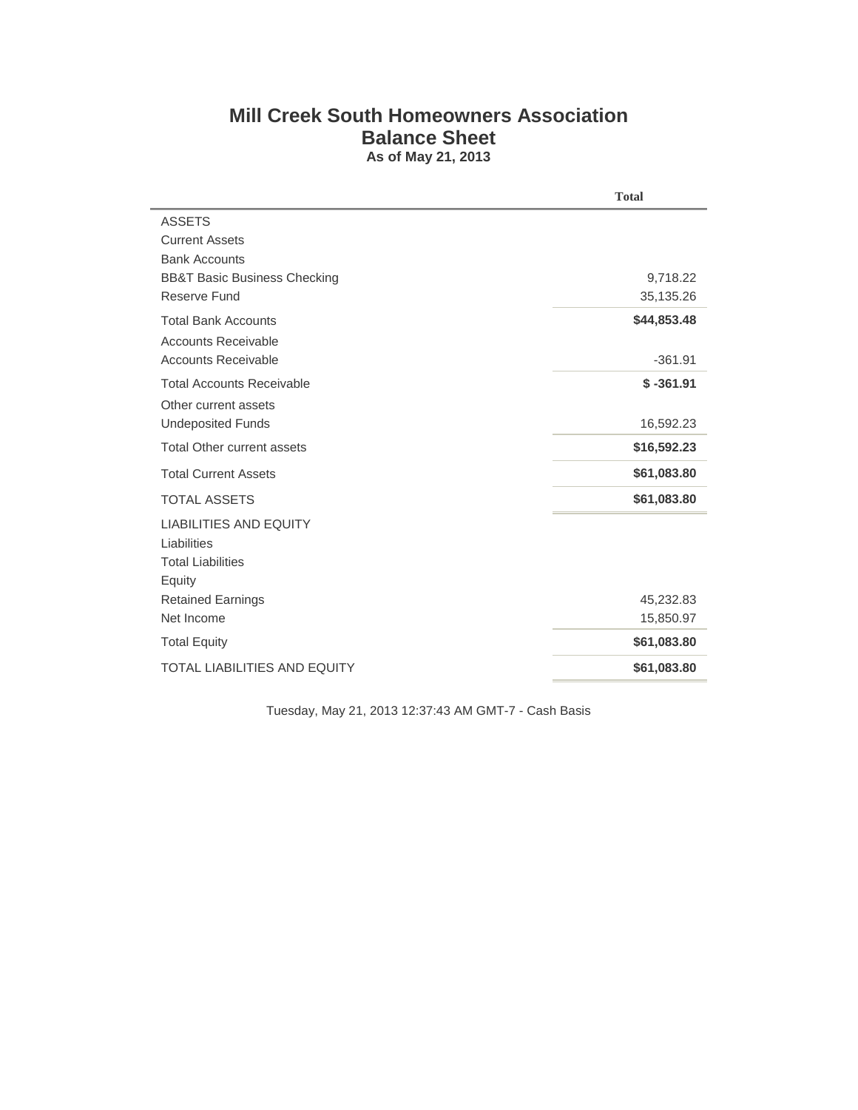## **Mill Creek South Homeowners Association Balance Sheet As of May 21, 2013**

|                                         | <b>Total</b> |
|-----------------------------------------|--------------|
| <b>ASSETS</b>                           |              |
| <b>Current Assets</b>                   |              |
| <b>Bank Accounts</b>                    |              |
| <b>BB&amp;T Basic Business Checking</b> | 9,718.22     |
| Reserve Fund                            | 35,135.26    |
| <b>Total Bank Accounts</b>              | \$44,853.48  |
| <b>Accounts Receivable</b>              |              |
| <b>Accounts Receivable</b>              | $-361.91$    |
| <b>Total Accounts Receivable</b>        | $$ -361.91$  |
| Other current assets                    |              |
| <b>Undeposited Funds</b>                | 16,592.23    |
| <b>Total Other current assets</b>       | \$16,592.23  |
| <b>Total Current Assets</b>             | \$61,083.80  |
| <b>TOTAL ASSETS</b>                     | \$61,083.80  |
| <b>LIABILITIES AND EQUITY</b>           |              |
| Liabilities                             |              |
| <b>Total Liabilities</b>                |              |
| Equity                                  |              |
| <b>Retained Earnings</b>                | 45,232.83    |
| Net Income                              | 15,850.97    |
| <b>Total Equity</b>                     | \$61,083.80  |
| <b>TOTAL LIABILITIES AND EQUITY</b>     | \$61,083.80  |

Tuesday, May 21, 2013 12:37:43 AM GMT-7 - Cash Basis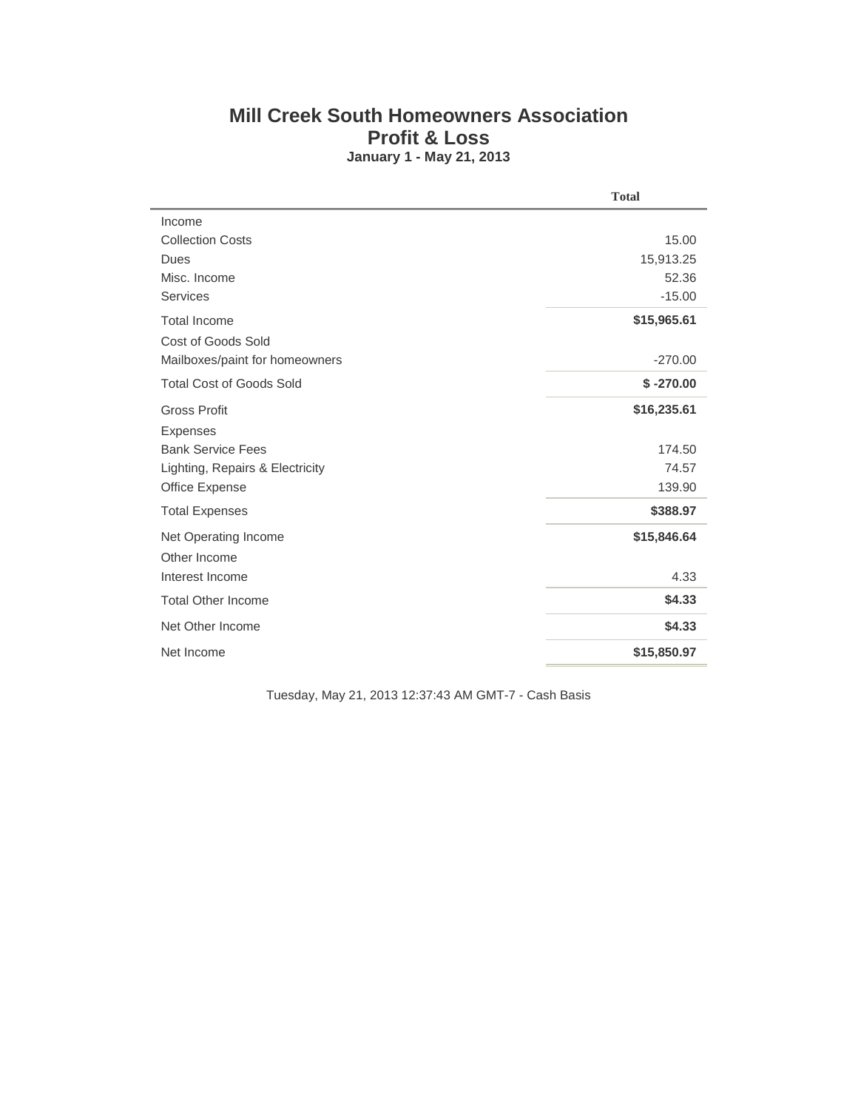## **Mill Creek South Homeowners Association Profit & Loss January 1 - May 21, 2013**

|                                 | <b>Total</b> |
|---------------------------------|--------------|
| Income                          |              |
| <b>Collection Costs</b>         | 15.00        |
| Dues                            | 15,913.25    |
| Misc. Income                    | 52.36        |
| <b>Services</b>                 | $-15.00$     |
| <b>Total Income</b>             | \$15,965.61  |
| Cost of Goods Sold              |              |
| Mailboxes/paint for homeowners  | $-270.00$    |
| <b>Total Cost of Goods Sold</b> | $$ -270.00$  |
| <b>Gross Profit</b>             | \$16,235.61  |
| <b>Expenses</b>                 |              |
| <b>Bank Service Fees</b>        | 174.50       |
| Lighting, Repairs & Electricity | 74.57        |
| Office Expense                  | 139.90       |
| <b>Total Expenses</b>           | \$388.97     |
| Net Operating Income            | \$15,846.64  |
| Other Income                    |              |
| Interest Income                 | 4.33         |
| <b>Total Other Income</b>       | \$4.33       |
| Net Other Income                | \$4.33       |
| Net Income                      | \$15,850.97  |

Tuesday, May 21, 2013 12:37:43 AM GMT-7 - Cash Basis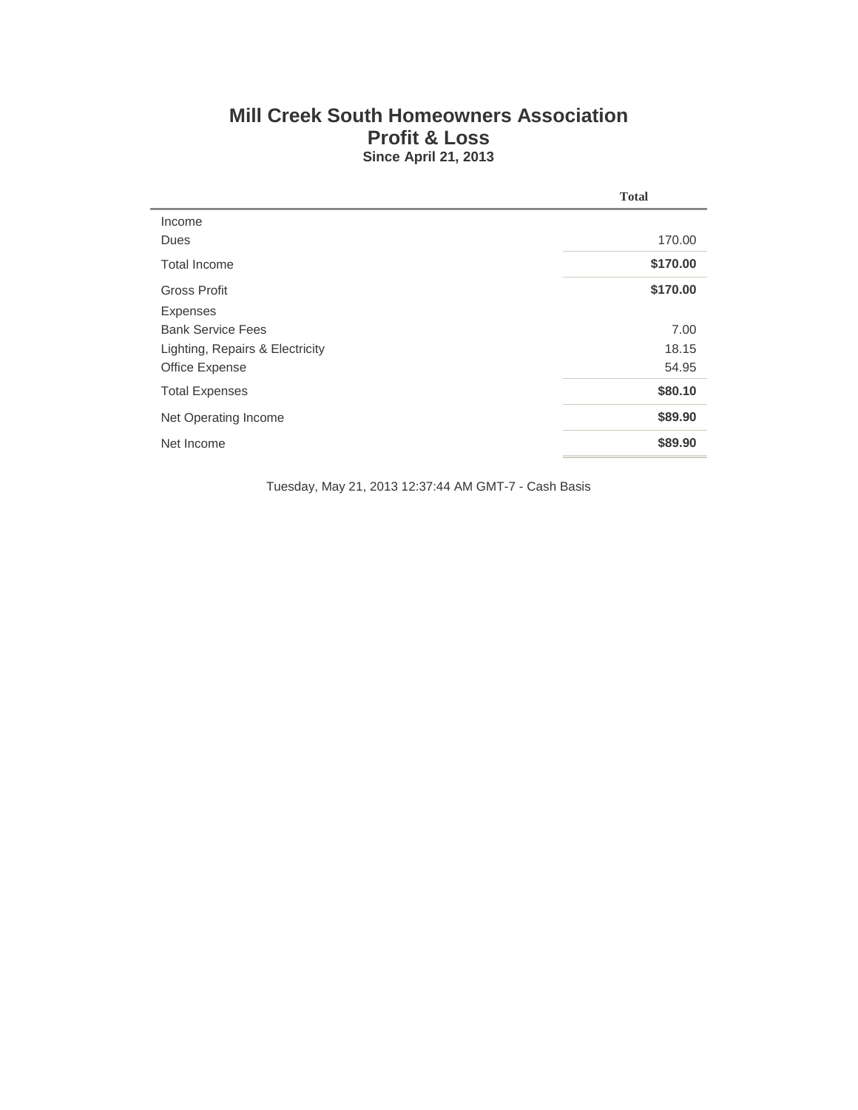## **Mill Creek South Homeowners Association Profit & Loss Since April 21, 2013**

|                                 | <b>Total</b> |
|---------------------------------|--------------|
| Income                          |              |
| Dues                            | 170.00       |
| Total Income                    | \$170.00     |
| Gross Profit                    | \$170.00     |
| <b>Expenses</b>                 |              |
| <b>Bank Service Fees</b>        | 7.00         |
| Lighting, Repairs & Electricity | 18.15        |
| Office Expense                  | 54.95        |
| <b>Total Expenses</b>           | \$80.10      |
| Net Operating Income            | \$89.90      |
| Net Income                      | \$89.90      |

Tuesday, May 21, 2013 12:37:44 AM GMT-7 - Cash Basis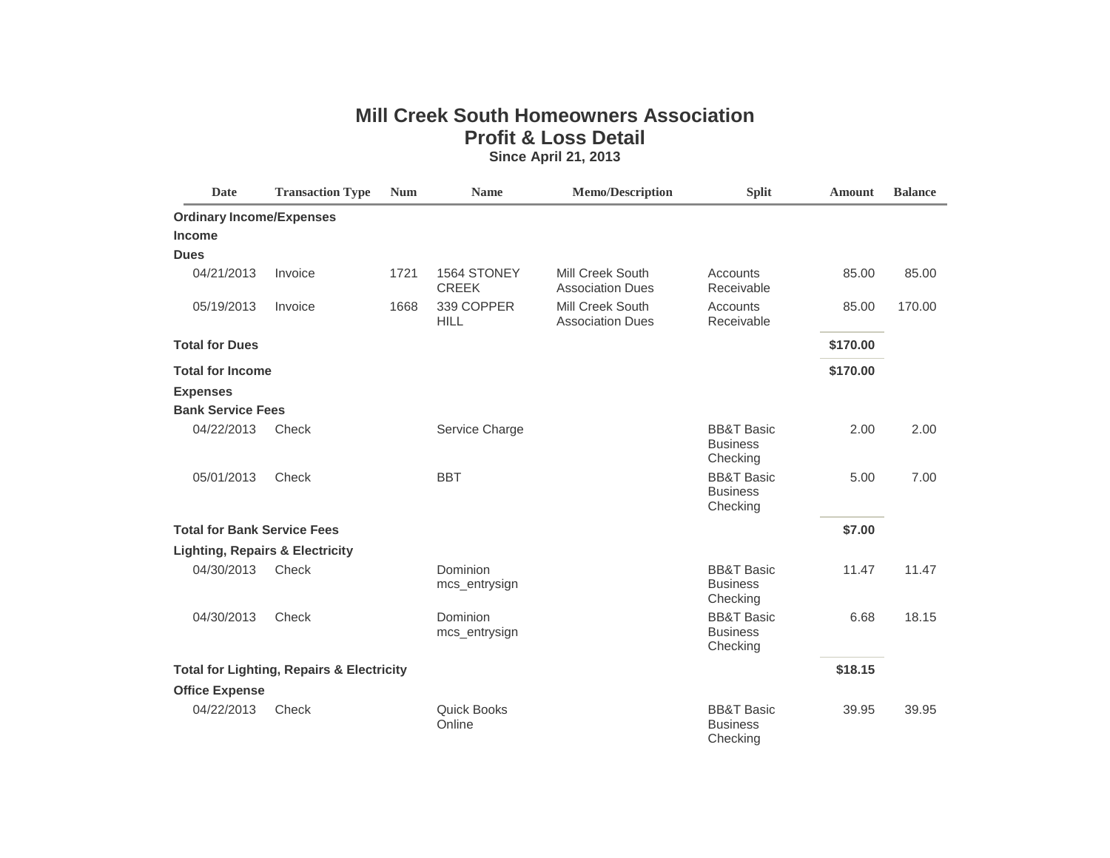## **Mill Creek South Homeowners Association Profit & Loss Detail Since April 21, 2013**

| <b>Date</b>                                | <b>Transaction Type</b>                              | <b>Num</b> | <b>Name</b>                  | <b>Memo/Description</b>                     | <b>Split</b>                                         | <b>Amount</b> | <b>Balance</b> |
|--------------------------------------------|------------------------------------------------------|------------|------------------------------|---------------------------------------------|------------------------------------------------------|---------------|----------------|
| <b>Ordinary Income/Expenses</b>            |                                                      |            |                              |                                             |                                                      |               |                |
| <b>Income</b>                              |                                                      |            |                              |                                             |                                                      |               |                |
| <b>Dues</b>                                |                                                      |            |                              |                                             |                                                      |               |                |
| 04/21/2013                                 | Invoice                                              | 1721       | 1564 STONEY<br><b>CREEK</b>  | Mill Creek South<br><b>Association Dues</b> | Accounts<br>Receivable                               | 85.00         | 85.00          |
| 05/19/2013                                 | Invoice                                              | 1668       | 339 COPPER<br><b>HILL</b>    | Mill Creek South<br><b>Association Dues</b> | Accounts<br>Receivable                               | 85.00         | 170.00         |
| <b>Total for Dues</b>                      |                                                      |            |                              |                                             |                                                      | \$170.00      |                |
| <b>Total for Income</b>                    |                                                      |            |                              |                                             |                                                      | \$170.00      |                |
| <b>Expenses</b>                            |                                                      |            |                              |                                             |                                                      |               |                |
| <b>Bank Service Fees</b>                   |                                                      |            |                              |                                             |                                                      |               |                |
| 04/22/2013                                 | Check                                                |            | Service Charge               |                                             | <b>BB&amp;T Basic</b><br><b>Business</b><br>Checking | 2.00          | 2.00           |
| 05/01/2013                                 | Check                                                |            | <b>BBT</b>                   |                                             | <b>BB&amp;T Basic</b><br><b>Business</b><br>Checking | 5.00          | 7.00           |
| <b>Total for Bank Service Fees</b>         |                                                      |            |                              |                                             |                                                      | \$7.00        |                |
| <b>Lighting, Repairs &amp; Electricity</b> |                                                      |            |                              |                                             |                                                      |               |                |
| 04/30/2013                                 | Check                                                |            | Dominion<br>mcs_entrysign    |                                             | <b>BB&amp;T Basic</b><br><b>Business</b><br>Checking | 11.47         | 11.47          |
| 04/30/2013                                 | Check                                                |            | Dominion<br>mcs_entrysign    |                                             | <b>BB&amp;T Basic</b><br><b>Business</b><br>Checking | 6.68          | 18.15          |
|                                            | <b>Total for Lighting, Repairs &amp; Electricity</b> |            |                              |                                             |                                                      | \$18.15       |                |
| <b>Office Expense</b>                      |                                                      |            |                              |                                             |                                                      |               |                |
| 04/22/2013                                 | Check                                                |            | <b>Quick Books</b><br>Online |                                             | <b>BB&amp;T Basic</b><br><b>Business</b><br>Checking | 39.95         | 39.95          |